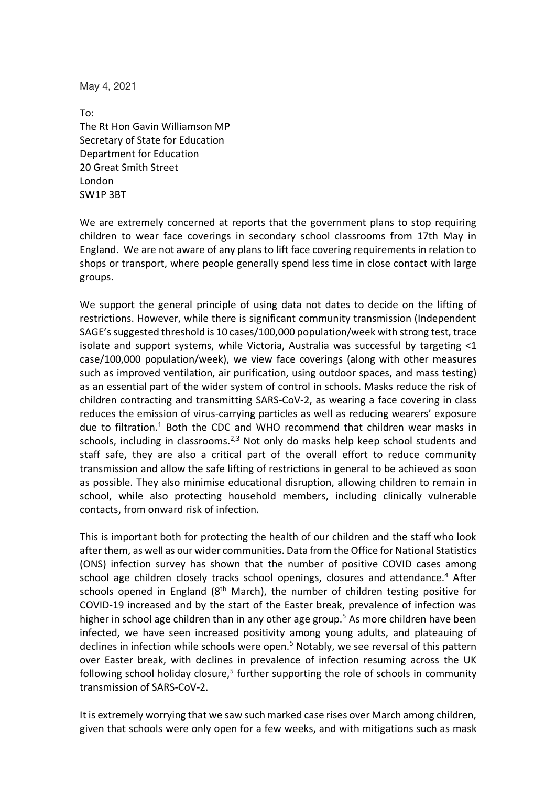May 4, 2021

To: The Rt Hon Gavin Williamson MP Secretary of State for Education Department for Education 20 Great Smith Street London  SW1P 3BT

We are extremely concerned at reports that the government plans to stop requiring children to wear face coverings in secondary school classrooms from 17th May in England. We are not aware of any plans to lift face covering requirements in relation to shops or transport, where people generally spend less time in close contact with large groups.

We support the general principle of using data not dates to decide on the lifting of restrictions. However, while there is significant community transmission (Independent SAGE's suggested threshold is 10 cases/100,000 population/week with strong test, trace isolate and support systems, while Victoria, Australia was successful by targeting <1 case/100,000 population/week), we view face coverings (along with other measures such as improved ventilation, air purification, using outdoor spaces, and mass testing) as an essential part of the wider system of control in schools. Masks reduce the risk of children contracting and transmitting SARS-CoV-2, as wearing a face covering in class reduces the emission of virus-carrying particles as well as reducing wearers' exposure due to filtration.<sup>1</sup> Both the CDC and WHO recommend that children wear masks in schools, including in classrooms. $2,3$  Not only do masks help keep school students and staff safe, they are also a critical part of the overall effort to reduce community transmission and allow the safe lifting of restrictions in general to be achieved as soon as possible. They also minimise educational disruption, allowing children to remain in school, while also protecting household members, including clinically vulnerable contacts, from onward risk of infection.

This is important both for protecting the health of our children and the staff who look after them, as well as our wider communities. Data from the Office for National Statistics (ONS) infection survey has shown that the number of positive COVID cases among school age children closely tracks school openings, closures and attendance.<sup>4</sup> After schools opened in England ( $8<sup>th</sup>$  March), the number of children testing positive for COVID-19 increased and by the start of the Easter break, prevalence of infection was higher in school age children than in any other age group.<sup>5</sup> As more children have been infected, we have seen increased positivity among young adults, and plateauing of declines in infection while schools were open.<sup>5</sup> Notably, we see reversal of this pattern over Easter break, with declines in prevalence of infection resuming across the UK following school holiday closure,<sup>5</sup> further supporting the role of schools in community transmission of SARS-CoV-2.

It is extremely worrying that we saw such marked case rises over March among children, given that schools were only open for a few weeks, and with mitigations such as mask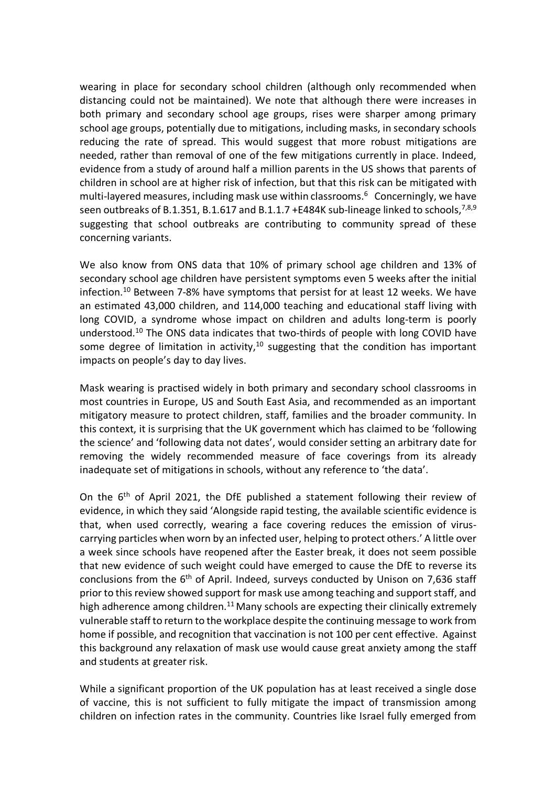wearing in place for secondary school children (although only recommended when distancing could not be maintained). We note that although there were increases in both primary and secondary school age groups, rises were sharper among primary school age groups, potentially due to mitigations, including masks, in secondary schools reducing the rate of spread. This would suggest that more robust mitigations are needed, rather than removal of one of the few mitigations currently in place. Indeed, evidence from a study of around half a million parents in the US shows that parents of children in school are at higher risk of infection, but that this risk can be mitigated with multi-layered measures, including mask use within classrooms.<sup>6</sup> Concerningly, we have seen outbreaks of B.1.351, B.1.617 and B.1.1.7 +E484K sub-lineage linked to schools,  $7,8,9$ suggesting that school outbreaks are contributing to community spread of these concerning variants.

We also know from ONS data that 10% of primary school age children and 13% of secondary school age children have persistent symptoms even 5 weeks after the initial infection.<sup>10</sup> Between 7-8% have symptoms that persist for at least 12 weeks. We have an estimated 43,000 children, and 114,000 teaching and educational staff living with long COVID, a syndrome whose impact on children and adults long-term is poorly understood.10 The ONS data indicates that two-thirds of people with long COVID have some degree of limitation in activity, $10$  suggesting that the condition has important impacts on people's day to day lives.

Mask wearing is practised widely in both primary and secondary school classrooms in most countries in Europe, US and South East Asia, and recommended as an important mitigatory measure to protect children, staff, families and the broader community. In this context, it is surprising that the UK government which has claimed to be 'following the science' and 'following data not dates', would consider setting an arbitrary date for removing the widely recommended measure of face coverings from its already inadequate set of mitigations in schools, without any reference to 'the data'.

On the  $6<sup>th</sup>$  of April 2021, the DfE published a statement following their review of evidence, in which they said 'Alongside rapid testing, the available scientific evidence is that, when used correctly, wearing a face covering reduces the emission of viruscarrying particles when worn by an infected user, helping to protect others.' A little over a week since schools have reopened after the Easter break, it does not seem possible that new evidence of such weight could have emerged to cause the DfE to reverse its conclusions from the  $6<sup>th</sup>$  of April. Indeed, surveys conducted by Unison on 7,636 staff prior to this review showed support for mask use among teaching and support staff, and high adherence among children.<sup>11</sup> Many schools are expecting their clinically extremely vulnerable staff to return to the workplace despite the continuing message to work from home if possible, and recognition that vaccination is not 100 per cent effective. Against this background any relaxation of mask use would cause great anxiety among the staff and students at greater risk.

While a significant proportion of the UK population has at least received a single dose of vaccine, this is not sufficient to fully mitigate the impact of transmission among children on infection rates in the community. Countries like Israel fully emerged from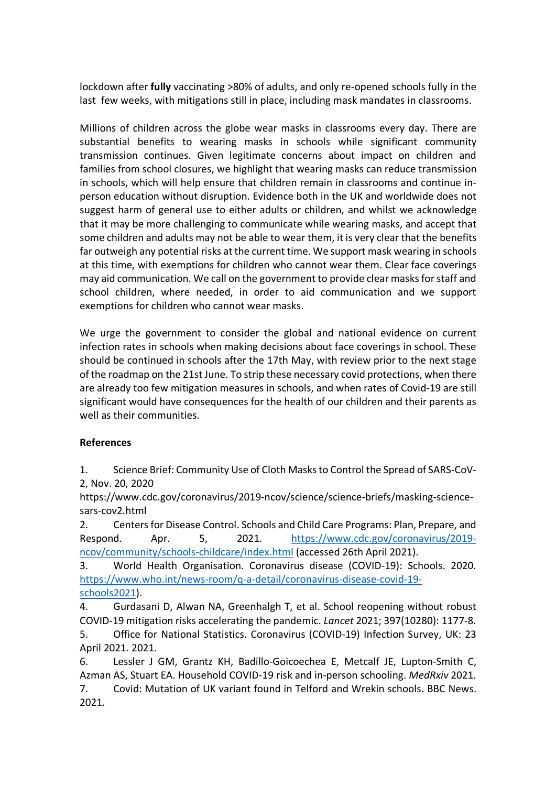lockdown after **fully** vaccinating >80% of adults, and only re-opened schools fully in the last few weeks, with mitigations still in place, including mask mandates in classrooms.

Millions of children across the globe wear masks in classrooms every day. There are substantial benefits to wearing masks in schools while significant community transmission continues. Given legitimate concerns about impact on children and families from school closures, we highlight that wearing masks can reduce transmission in schools, which will help ensure that children remain in classrooms and continue inperson education without disruption. Evidence both in the UK and worldwide does not suggest harm of general use to either adults or children, and whilst we acknowledge that it may be more challenging to communicate while wearing masks, and accept that some children and adults may not be able to wear them, it is very clear that the benefits far outweigh any potential risks at the current time. We support mask wearing in schools at this time, with exemptions for children who cannot wear them. Clear face coverings may aid communication. We call on the government to provide clear masks for staff and school children, where needed, in order to aid communication and we support exemptions for children who cannot wear masks.

We urge the government to consider the global and national evidence on current infection rates in schools when making decisions about face coverings in school. These should be continued in schools after the 17th May, with review prior to the next stage of the roadmap on the 21st June. To strip these necessary covid protections, when there are already too few mitigation measures in schools, and when rates of Covid-19 are still significant would have consequences for the health of our children and their parents as well as their communities.

## **References**

1. Science Brief: Community Use of Cloth Masks to Control the Spread of SARS-CoV-2, Nov. 20, 2020

https://www.cdc.gov/coronavirus/2019-ncov/science/science-briefs/masking-sciencesars-cov2.html

2. Centers for Disease Control. Schools and Child Care Programs: Plan, Prepare, and Respond. Apr. 5, 2021. https://www.cdc.gov/coronavirus/2019 ncov/community/schools-childcare/index.html (accessed 26th April 2021).

3. World Health Organisation. Coronavirus disease (COVID-19): Schools. 2020. https://www.who.int/news-room/q-a-detail/coronavirus-disease-covid-19 schools2021).

4. Gurdasani D, Alwan NA, Greenhalgh T, et al. School reopening without robust COVID-19 mitigation risks accelerating the pandemic. *Lancet* 2021; 397(10280): 1177-8. 5. Office for National Statistics. Coronavirus (COVID-19) Infection Survey, UK: 23

April 2021. 2021.

6. Lessler J GM, Grantz KH, Badillo-Goicoechea E, Metcalf JE, Lupton-Smith C, Azman AS, Stuart EA. Household COVID-19 risk and in-person schooling. *MedRxiv* 2021.

7. Covid: Mutation of UK variant found in Telford and Wrekin schools. BBC News. 2021.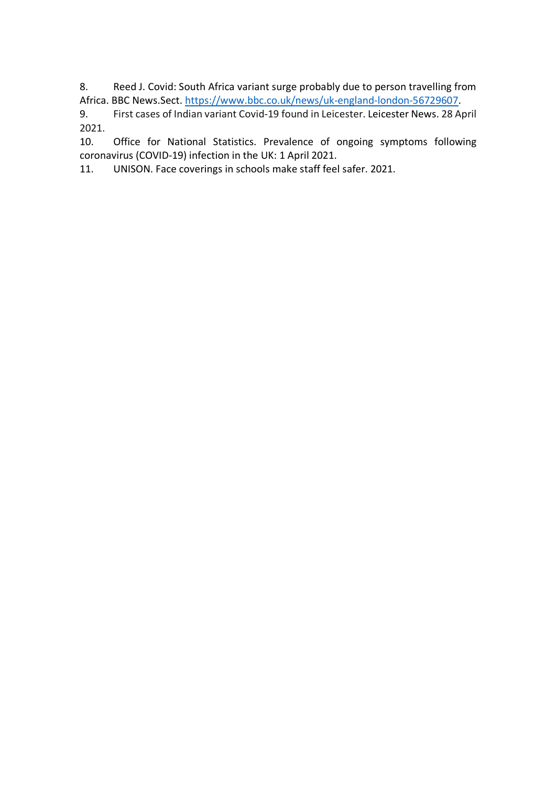8. Reed J. Covid: South Africa variant surge probably due to person travelling from Africa. BBC News.Sect. https://www.bbc.co.uk/news/uk-england-london-56729607.

9. First cases of Indian variant Covid-19 found in Leicester. Leicester News. 28 April 2021.

10. Office for National Statistics. Prevalence of ongoing symptoms following coronavirus (COVID-19) infection in the UK: 1 April 2021.

11. UNISON. Face coverings in schools make staff feel safer. 2021.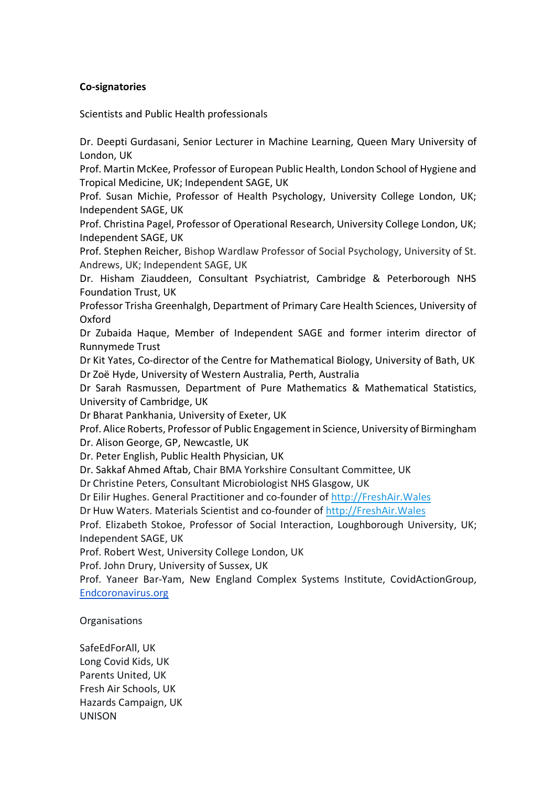## **Co-signatories**

Scientists and Public Health professionals

Dr. Deepti Gurdasani, Senior Lecturer in Machine Learning, Queen Mary University of London, UK

Prof. Martin McKee, Professor of European Public Health, London School of Hygiene and Tropical Medicine, UK; Independent SAGE, UK

Prof. Susan Michie, Professor of Health Psychology, University College London, UK; Independent SAGE, UK

Prof. Christina Pagel, Professor of Operational Research, University College London, UK; Independent SAGE, UK

Prof. Stephen Reicher, Bishop Wardlaw Professor of Social Psychology, University of St. Andrews, UK; Independent SAGE, UK

Dr. Hisham Ziauddeen, Consultant Psychiatrist, Cambridge & Peterborough NHS Foundation Trust, UK

Professor Trisha Greenhalgh, Department of Primary Care Health Sciences, University of Oxford

Dr Zubaida Haque, Member of Independent SAGE and former interim director of Runnymede Trust

Dr Kit Yates, Co-director of the Centre for Mathematical Biology, University of Bath, UK Dr Zoë Hyde, University of Western Australia, Perth, Australia

Dr Sarah Rasmussen, Department of Pure Mathematics & Mathematical Statistics, University of Cambridge, UK

Dr Bharat Pankhania, University of Exeter, UK

Prof. Alice Roberts, Professor of Public Engagement in Science, University of Birmingham Dr. Alison George, GP, Newcastle, UK

Dr. Peter English, Public Health Physician, UK

Dr. Sakkaf Ahmed Aftab, Chair BMA Yorkshire Consultant Committee, UK

Dr Christine Peters, Consultant Microbiologist NHS Glasgow, UK

Dr Eilir Hughes. General Practitioner and co-founder of http://FreshAir.Wales

Dr Huw Waters. Materials Scientist and co-founder of http://FreshAir.Wales

Prof. Elizabeth Stokoe, Professor of Social Interaction, Loughborough University, UK; Independent SAGE, UK

Prof. Robert West, University College London, UK

Prof. John Drury, University of Sussex, UK

Prof. Yaneer Bar-Yam, New England Complex Systems Institute, CovidActionGroup, Endcoronavirus.org

**Organisations** 

SafeEdForAll, UK Long Covid Kids, UK Parents United, UK Fresh Air Schools, UK Hazards Campaign, UK UNISON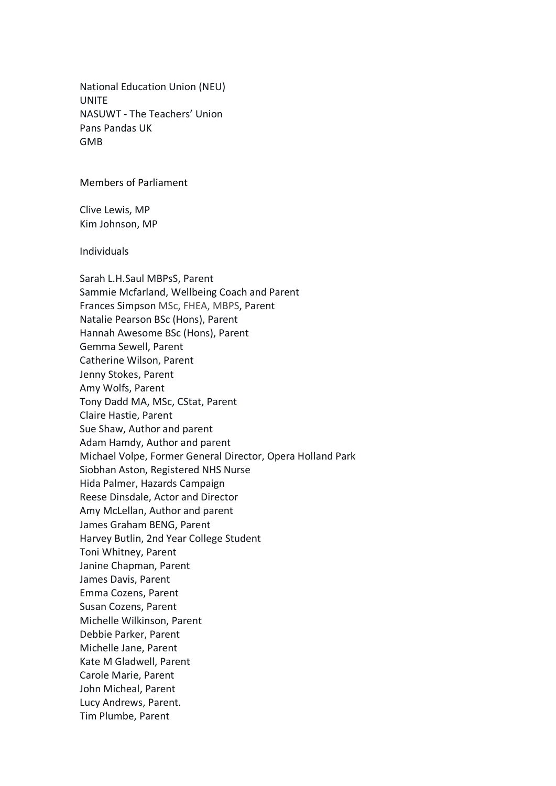National Education Union (NEU) UNITE NASUWT - The Teachers' Union Pans Pandas UK GMB

## Members of Parliament

Clive Lewis, MP Kim Johnson, MP

Individuals

Sarah L.H.Saul MBPsS, Parent Sammie Mcfarland, Wellbeing Coach and Parent Frances Simpson MSc, FHEA, MBPS, Parent Natalie Pearson BSc (Hons), Parent Hannah Awesome BSc (Hons), Parent Gemma Sewell, Parent Catherine Wilson, Parent Jenny Stokes, Parent Amy Wolfs, Parent Tony Dadd MA, MSc, CStat, Parent Claire Hastie, Parent Sue Shaw, Author and parent Adam Hamdy, Author and parent Michael Volpe, Former General Director, Opera Holland Park Siobhan Aston, Registered NHS Nurse Hida Palmer, Hazards Campaign Reese Dinsdale, Actor and Director Amy McLellan, Author and parent James Graham BENG, Parent Harvey Butlin, 2nd Year College Student Toni Whitney, Parent Janine Chapman, Parent James Davis, Parent Emma Cozens, Parent Susan Cozens, Parent Michelle Wilkinson, Parent Debbie Parker, Parent Michelle Jane, Parent Kate M Gladwell, Parent Carole Marie, Parent John Micheal, Parent Lucy Andrews, Parent. Tim Plumbe, Parent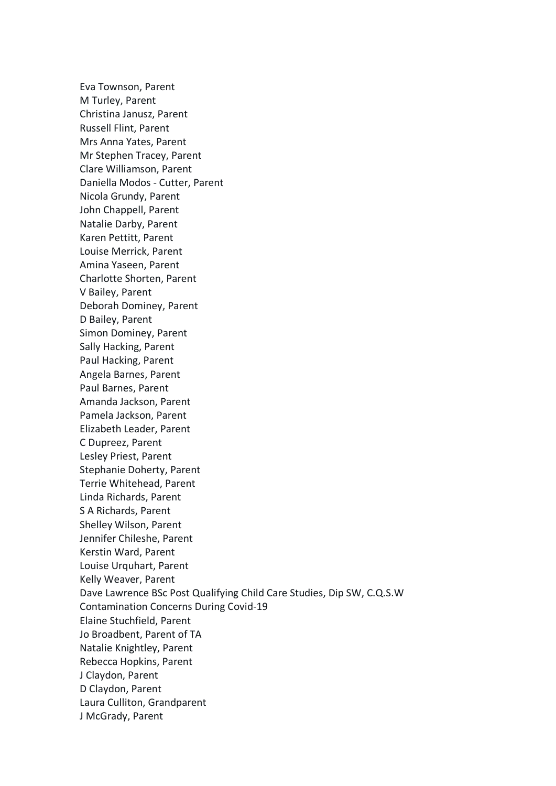Eva Townson, Parent M Turley, Parent Christina Janusz, Parent Russell Flint, Parent Mrs Anna Yates, Parent Mr Stephen Tracey, Parent Clare Williamson, Parent Daniella Modos - Cutter, Parent Nicola Grundy, Parent John Chappell, Parent Natalie Darby, Parent Karen Pettitt, Parent Louise Merrick, Parent Amina Yaseen, Parent Charlotte Shorten, Parent V Bailey, Parent Deborah Dominey, Parent D Bailey, Parent Simon Dominey, Parent Sally Hacking, Parent Paul Hacking, Parent Angela Barnes, Parent Paul Barnes, Parent Amanda Jackson, Parent Pamela Jackson, Parent Elizabeth Leader, Parent C Dupreez, Parent Lesley Priest, Parent Stephanie Doherty, Parent Terrie Whitehead, Parent Linda Richards, Parent S A Richards, Parent Shelley Wilson, Parent Jennifer Chileshe, Parent Kerstin Ward, Parent Louise Urquhart, Parent Kelly Weaver, Parent Dave Lawrence BSc Post Qualifying Child Care Studies, Dip SW, C.Q.S.W Contamination Concerns During Covid-19 Elaine Stuchfield, Parent Jo Broadbent, Parent of TA Natalie Knightley, Parent Rebecca Hopkins, Parent J Claydon, Parent D Claydon, Parent Laura Culliton, Grandparent J McGrady, Parent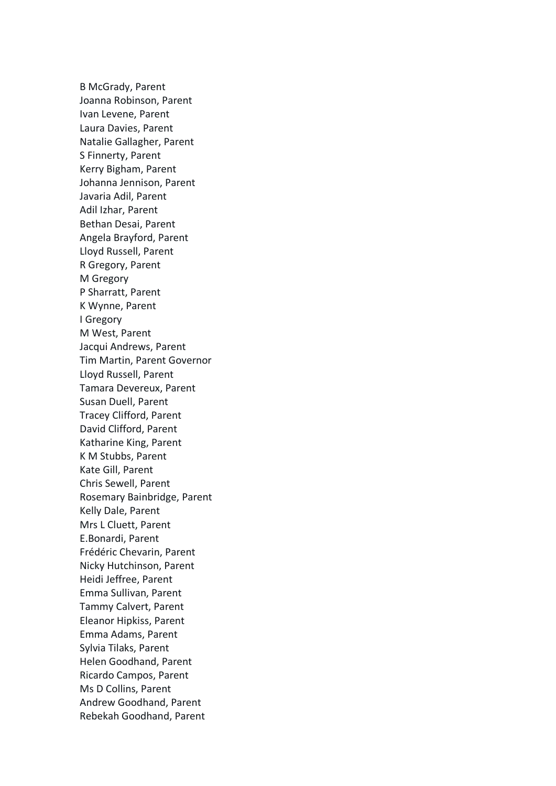B McGrady, Parent Joanna Robinson, Parent Ivan Levene, Parent Laura Davies, Parent Natalie Gallagher, Parent S Finnerty, Parent Kerry Bigham, Parent Johanna Jennison, Parent Javaria Adil, Parent Adil Izhar, Parent Bethan Desai, Parent Angela Brayford, Parent Lloyd Russell, Parent R Gregory, Parent M Gregory P Sharratt, Parent K Wynne, Parent I Gregory M West, Parent Jacqui Andrews, Parent Tim Martin, Parent Governor Lloyd Russell, Parent Tamara Devereux, Parent Susan Duell, Parent Tracey Clifford, Parent David Clifford, Parent Katharine King, Parent K M Stubbs, Parent Kate Gill, Parent Chris Sewell, Parent Rosemary Bainbridge, Parent Kelly Dale, Parent Mrs L Cluett, Parent E.Bonardi, Parent Frédéric Chevarin, Parent Nicky Hutchinson, Parent Heidi Jeffree, Parent Emma Sullivan, Parent Tammy Calvert, Parent Eleanor Hipkiss, Parent Emma Adams, Parent Sylvia Tilaks, Parent Helen Goodhand, Parent Ricardo Campos, Parent Ms D Collins, Parent Andrew Goodhand, Parent Rebekah Goodhand, Parent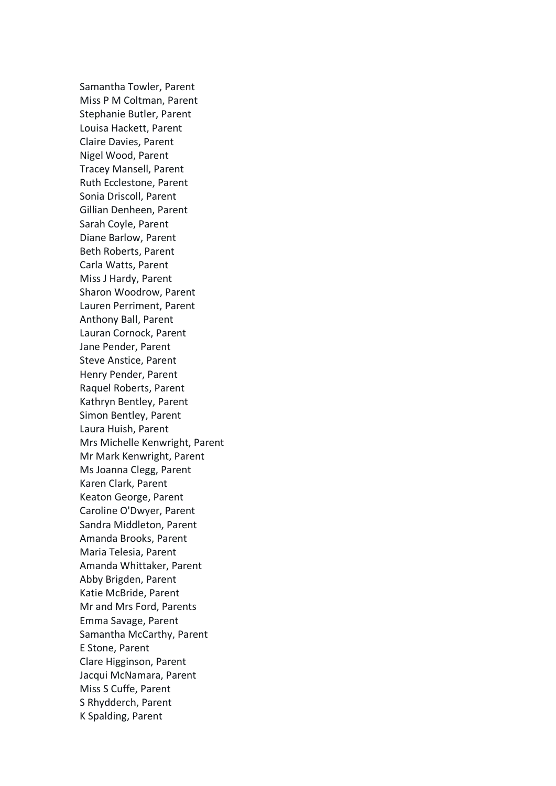Samantha Towler, Parent Miss P M Coltman, Parent Stephanie Butler, Parent Louisa Hackett, Parent Claire Davies, Parent Nigel Wood, Parent Tracey Mansell, Parent Ruth Ecclestone, Parent Sonia Driscoll, Parent Gillian Denheen, Parent Sarah Coyle, Parent Diane Barlow, Parent Beth Roberts, Parent Carla Watts, Parent Miss J Hardy, Parent Sharon Woodrow, Parent Lauren Perriment, Parent Anthony Ball, Parent Lauran Cornock, Parent Jane Pender, Parent Steve Anstice, Parent Henry Pender, Parent Raquel Roberts, Parent Kathryn Bentley, Parent Simon Bentley, Parent Laura Huish, Parent Mrs Michelle Kenwright, Parent Mr Mark Kenwright, Parent Ms Joanna Clegg, Parent Karen Clark, Parent Keaton George, Parent Caroline O'Dwyer, Parent Sandra Middleton, Parent Amanda Brooks, Parent Maria Telesia, Parent Amanda Whittaker, Parent Abby Brigden, Parent Katie McBride, Parent Mr and Mrs Ford, Parents Emma Savage, Parent Samantha McCarthy, Parent E Stone, Parent Clare Higginson, Parent Jacqui McNamara, Parent Miss S Cuffe, Parent S Rhydderch, Parent K Spalding, Parent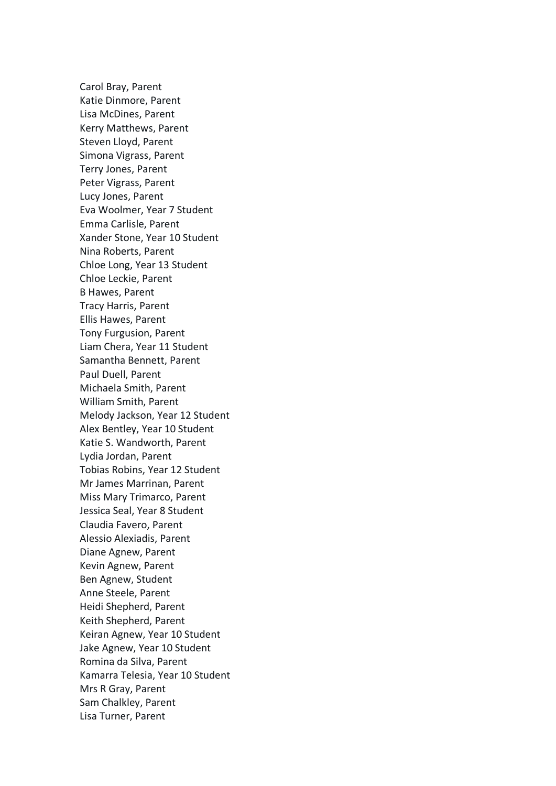Carol Bray, Parent Katie Dinmore, Parent Lisa McDines, Parent Kerry Matthews, Parent Steven Lloyd, Parent Simona Vigrass, Parent Terry Jones, Parent Peter Vigrass, Parent Lucy Jones, Parent Eva Woolmer, Year 7 Student Emma Carlisle, Parent Xander Stone, Year 10 Student Nina Roberts, Parent Chloe Long, Year 13 Student Chloe Leckie, Parent B Hawes, Parent Tracy Harris, Parent Ellis Hawes, Parent Tony Furgusion, Parent Liam Chera, Year 11 Student Samantha Bennett, Parent Paul Duell, Parent Michaela Smith, Parent William Smith, Parent Melody Jackson, Year 12 Student Alex Bentley, Year 10 Student Katie S. Wandworth, Parent Lydia Jordan, Parent Tobias Robins, Year 12 Student Mr James Marrinan, Parent Miss Mary Trimarco, Parent Jessica Seal, Year 8 Student Claudia Favero, Parent Alessio Alexiadis, Parent Diane Agnew, Parent Kevin Agnew, Parent Ben Agnew, Student Anne Steele, Parent Heidi Shepherd, Parent Keith Shepherd, Parent Keiran Agnew, Year 10 Student Jake Agnew, Year 10 Student Romina da Silva, Parent Kamarra Telesia, Year 10 Student Mrs R Gray, Parent Sam Chalkley, Parent Lisa Turner, Parent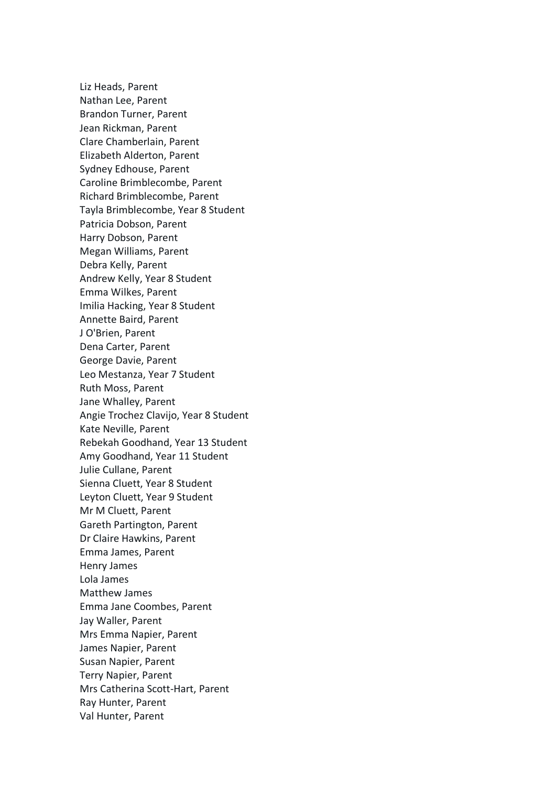Liz Heads, Parent Nathan Lee, Parent Brandon Turner, Parent Jean Rickman, Parent Clare Chamberlain, Parent Elizabeth Alderton, Parent Sydney Edhouse, Parent Caroline Brimblecombe, Parent Richard Brimblecombe, Parent Tayla Brimblecombe, Year 8 Student Patricia Dobson, Parent Harry Dobson, Parent Megan Williams, Parent Debra Kelly, Parent Andrew Kelly, Year 8 Student Emma Wilkes, Parent Imilia Hacking, Year 8 Student Annette Baird, Parent J O'Brien, Parent Dena Carter, Parent George Davie, Parent Leo Mestanza, Year 7 Student Ruth Moss, Parent Jane Whalley, Parent Angie Trochez Clavijo, Year 8 Student Kate Neville, Parent Rebekah Goodhand, Year 13 Student Amy Goodhand, Year 11 Student Julie Cullane, Parent Sienna Cluett, Year 8 Student Leyton Cluett, Year 9 Student Mr M Cluett, Parent Gareth Partington, Parent Dr Claire Hawkins, Parent Emma James, Parent Henry James Lola James Matthew James Emma Jane Coombes, Parent Jay Waller, Parent Mrs Emma Napier, Parent James Napier, Parent Susan Napier, Parent Terry Napier, Parent Mrs Catherina Scott-Hart, Parent Ray Hunter, Parent Val Hunter, Parent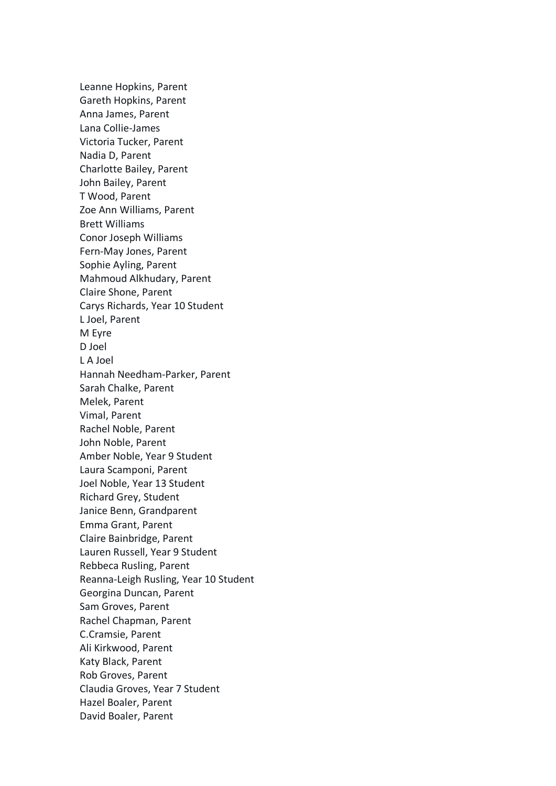Leanne Hopkins, Parent Gareth Hopkins, Parent Anna James, Parent Lana Collie-James Victoria Tucker, Parent Nadia D, Parent Charlotte Bailey, Parent John Bailey, Parent T Wood, Parent Zoe Ann Williams, Parent Brett Williams Conor Joseph Williams Fern-May Jones, Parent Sophie Ayling, Parent Mahmoud Alkhudary, Parent Claire Shone, Parent Carys Richards, Year 10 Student L Joel, Parent M Eyre D Joel L A Joel Hannah Needham-Parker, Parent Sarah Chalke, Parent Melek, Parent Vimal, Parent Rachel Noble, Parent John Noble, Parent Amber Noble, Year 9 Student Laura Scamponi, Parent Joel Noble, Year 13 Student Richard Grey, Student Janice Benn, Grandparent Emma Grant, Parent Claire Bainbridge, Parent Lauren Russell, Year 9 Student Rebbeca Rusling, Parent Reanna-Leigh Rusling, Year 10 Student Georgina Duncan, Parent Sam Groves, Parent Rachel Chapman, Parent C.Cramsie, Parent Ali Kirkwood, Parent Katy Black, Parent Rob Groves, Parent Claudia Groves, Year 7 Student Hazel Boaler, Parent David Boaler, Parent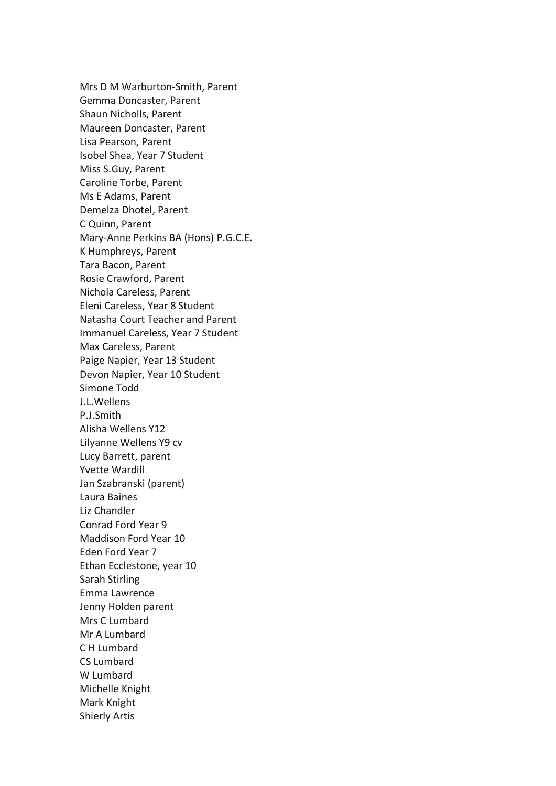Mrs D M Warburton-Smith, Parent Gemma Doncaster, Parent Shaun Nicholls, Parent Maureen Doncaster, Parent Lisa Pearson, Parent Isobel Shea, Year 7 Student Miss S.Guy, Parent Caroline Torbe, Parent Ms E Adams, Parent Demelza Dhotel, Parent C Quinn, Parent Mary-Anne Perkins BA (Hons) P.G.C.E. K Humphreys, Parent Tara Bacon, Parent Rosie Crawford, Parent Nichola Careless, Parent Eleni Careless, Year 8 Student Natasha Court Teacher and Parent Immanuel Careless, Year 7 Student Max Careless, Parent Paige Napier, Year 13 Student Devon Napier, Year 10 Student Simone Todd J.L.Wellens P.J.Smith Alisha Wellens Y12 Lilyanne Wellens Y9 cv Lucy Barrett, parent Yvette Wardill Jan Szabranski (parent) Laura Baines Liz Chandler Conrad Ford Year 9 Maddison Ford Year 10 Eden Ford Year 7 Ethan Ecclestone, year 10 Sarah Stirling Emma Lawrence Jenny Holden parent Mrs C Lumbard Mr A Lumbard C H Lumbard CS Lumbard W Lumbard Michelle Knight Mark Knight Shierly Artis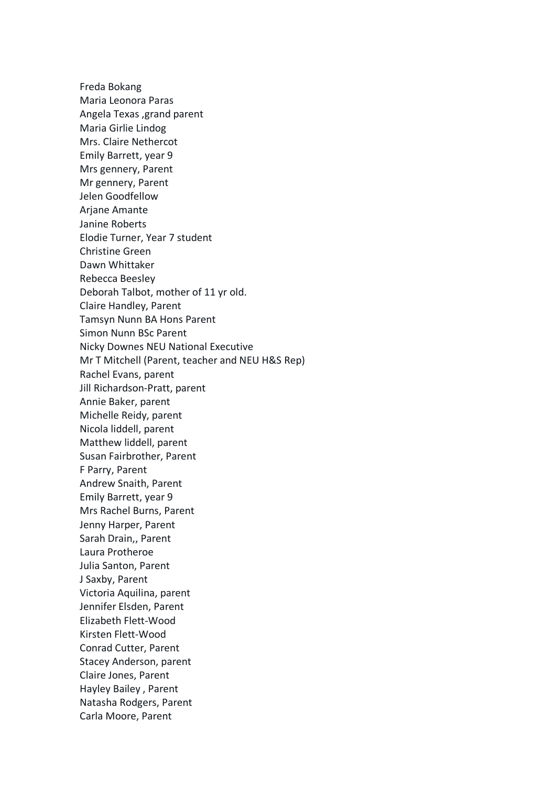Freda Bokang Maria Leonora Paras Angela Texas ,grand parent Maria Girlie Lindog Mrs. Claire Nethercot Emily Barrett, year 9 Mrs gennery, Parent Mr gennery, Parent Jelen Goodfellow Ariane Amante Janine Roberts Elodie Turner, Year 7 student Christine Green Dawn Whittaker Rebecca Beesley Deborah Talbot, mother of 11 yr old. Claire Handley, Parent Tamsyn Nunn BA Hons Parent Simon Nunn BSc Parent Nicky Downes NEU National Executive Mr T Mitchell (Parent, teacher and NEU H&S Rep) Rachel Evans, parent Jill Richardson-Pratt, parent Annie Baker, parent Michelle Reidy, parent Nicola liddell, parent Matthew liddell, parent Susan Fairbrother, Parent F Parry, Parent Andrew Snaith, Parent Emily Barrett, year 9 Mrs Rachel Burns, Parent Jenny Harper, Parent Sarah Drain,, Parent Laura Protheroe Julia Santon, Parent J Saxby, Parent Victoria Aquilina, parent Jennifer Elsden, Parent Elizabeth Flett-Wood Kirsten Flett-Wood Conrad Cutter, Parent Stacey Anderson, parent Claire Jones, Parent Hayley Bailey , Parent Natasha Rodgers, Parent Carla Moore, Parent